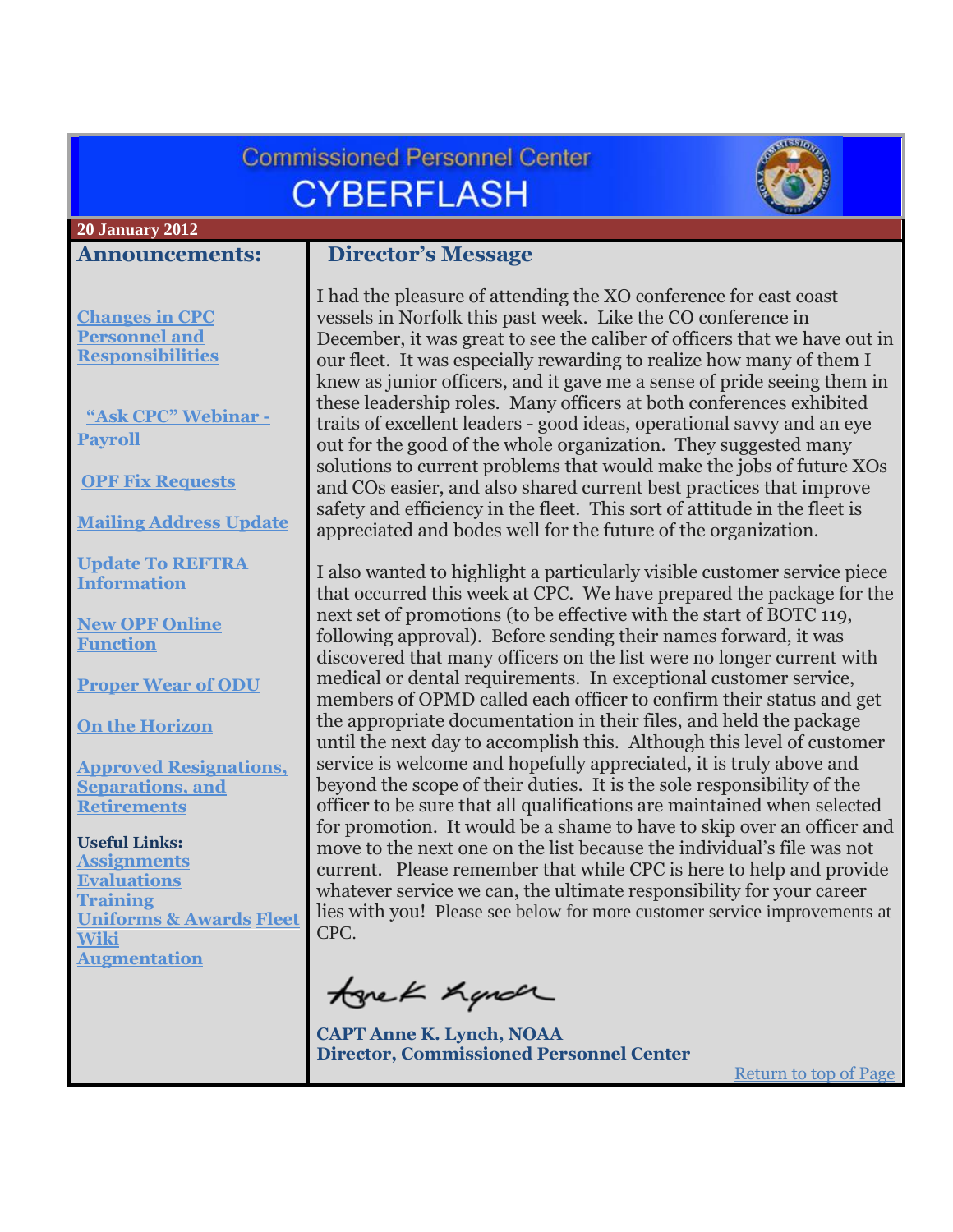<span id="page-0-0"></span>

| <b>Commissioned Personnel Center</b><br><b>CYBERFLASH</b>                                                                                                                             |                                                                                                                                                                                                                                                                                                                                                                                                                                                                                                                                                                                                                                                                                                                                                                                                                  |  |  |  |
|---------------------------------------------------------------------------------------------------------------------------------------------------------------------------------------|------------------------------------------------------------------------------------------------------------------------------------------------------------------------------------------------------------------------------------------------------------------------------------------------------------------------------------------------------------------------------------------------------------------------------------------------------------------------------------------------------------------------------------------------------------------------------------------------------------------------------------------------------------------------------------------------------------------------------------------------------------------------------------------------------------------|--|--|--|
| <b>20 January 2012</b>                                                                                                                                                                |                                                                                                                                                                                                                                                                                                                                                                                                                                                                                                                                                                                                                                                                                                                                                                                                                  |  |  |  |
| <b>Announcements:</b>                                                                                                                                                                 | <b>Director's Message</b>                                                                                                                                                                                                                                                                                                                                                                                                                                                                                                                                                                                                                                                                                                                                                                                        |  |  |  |
| <b>Changes in CPC</b><br><b>Personnel and</b><br><b>Responsibilities</b><br>"Ask CPC" Webinar -<br><b>Payroll</b><br><b>OPF Fix Requests</b>                                          | I had the pleasure of attending the XO conference for east coast<br>vessels in Norfolk this past week. Like the CO conference in<br>December, it was great to see the caliber of officers that we have out in<br>our fleet. It was especially rewarding to realize how many of them I<br>knew as junior officers, and it gave me a sense of pride seeing them in<br>these leadership roles. Many officers at both conferences exhibited<br>traits of excellent leaders - good ideas, operational savvy and an eye<br>out for the good of the whole organization. They suggested many<br>solutions to current problems that would make the jobs of future XOs<br>and COs easier, and also shared current best practices that improve<br>safety and efficiency in the fleet. This sort of attitude in the fleet is |  |  |  |
| <b>Mailing Address Update</b><br><b>Update To REFTRA</b>                                                                                                                              | appreciated and bodes well for the future of the organization.                                                                                                                                                                                                                                                                                                                                                                                                                                                                                                                                                                                                                                                                                                                                                   |  |  |  |
| <b>Information</b><br><b>New OPF Online</b><br><b>Function</b><br><b>Proper Wear of ODU</b>                                                                                           | I also wanted to highlight a particularly visible customer service piece<br>that occurred this week at CPC. We have prepared the package for the<br>next set of promotions (to be effective with the start of BOTC 119,<br>following approval). Before sending their names forward, it was<br>discovered that many officers on the list were no longer current with<br>medical or dental requirements. In exceptional customer service,                                                                                                                                                                                                                                                                                                                                                                          |  |  |  |
| <b>On the Horizon</b><br><b>Approved Resignations,</b><br><b>Separations</b> , and                                                                                                    | members of OPMD called each officer to confirm their status and get<br>the appropriate documentation in their files, and held the package<br>until the next day to accomplish this. Although this level of customer<br>service is welcome and hopefully appreciated, it is truly above and<br>beyond the scope of their duties. It is the sole responsibility of the                                                                                                                                                                                                                                                                                                                                                                                                                                             |  |  |  |
| <b>Retirements</b><br><b>Useful Links:</b><br><b>Assignments</b><br><b>Evaluations</b><br><b>Training</b><br><b>Uniforms &amp; Awards Fleet</b><br><u>Wiki</u><br><b>Augmentation</b> | officer to be sure that all qualifications are maintained when selected<br>for promotion. It would be a shame to have to skip over an officer and<br>move to the next one on the list because the individual's file was not<br>current. Please remember that while CPC is here to help and provide<br>whatever service we can, the ultimate responsibility for your career<br>lies with you! Please see below for more customer service improvements at<br>CPC.                                                                                                                                                                                                                                                                                                                                                  |  |  |  |
|                                                                                                                                                                                       | tonek hyndr<br><b>CAPT Anne K. Lynch, NOAA</b><br><b>Director, Commissioned Personnel Center</b><br><b>Return to top of Page</b>                                                                                                                                                                                                                                                                                                                                                                                                                                                                                                                                                                                                                                                                                 |  |  |  |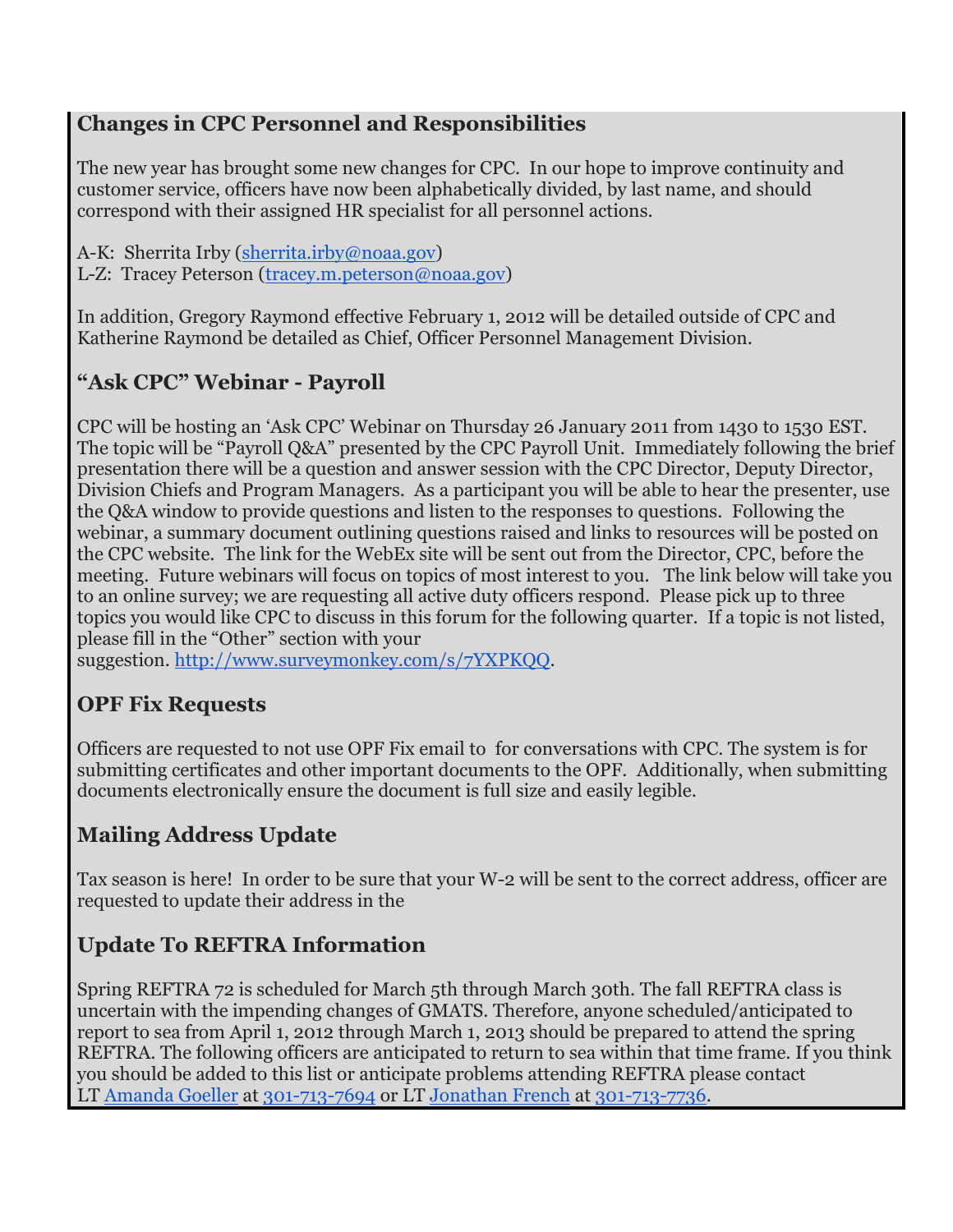#### <span id="page-1-0"></span>**Changes in CPC Personnel and Responsibilities**

The new year has brought some new changes for CPC. In our hope to improve continuity and customer service, officers have now been alphabetically divided, by last name, and should correspond with their assigned HR specialist for all personnel actions.

A-K: Sherrita Irby [\(sherrita.irby@noaa.gov\)](mailto:sherrita.irby@noaa.gov) L-Z: Tracey Peterson [\(tracey.m.peterson@noaa.gov\)](mailto:tracey.m.peterson@noaa.gov)

In addition, Gregory Raymond effective February 1, 2012 will be detailed outside of CPC and Katherine Raymond be detailed as Chief, Officer Personnel Management Division.

## <span id="page-1-1"></span>**"Ask CPC" Webinar - Payroll**

CPC will be hosting an 'Ask CPC' Webinar on Thursday 26 January 2011 from 1430 to 1530 EST. The topic will be "Payroll Q&A" presented by the CPC Payroll Unit. Immediately following the brief presentation there will be a question and answer session with the CPC Director, Deputy Director, Division Chiefs and Program Managers. As a participant you will be able to hear the presenter, use the Q&A window to provide questions and listen to the responses to questions. Following the webinar, a summary document outlining questions raised and links to resources will be posted on the CPC website. The link for the WebEx site will be sent out from the Director, CPC, before the meeting.Future webinars will focus on topics of most interest to you. The link below will take you to an online survey; we are requesting all active duty officers respond. Please pick up to three topics you would like CPC to discuss in this forum for the following quarter. If a topic is not listed, please fill in the "Other" section with your

suggestion. [http://www.surveymonkey.com/s/7YXPKQQ.](http://www.surveymonkey.com/s/7YXPKQQ)

## <span id="page-1-2"></span>**OPF Fix Requests**

Officers are requested to not use OPF Fix email to for conversations with CPC. The system is for submitting certificates and other important documents to the OPF. Additionally, when submitting documents electronically ensure the document is full size and easily legible.

## <span id="page-1-3"></span>**Mailing Address Update**

Tax season is here! In order to be sure that your W-2 will be sent to the correct address, officer are requested to update their address in the

## <span id="page-1-4"></span>**Update To REFTRA Information**

Spring REFTRA 72 is scheduled for March 5th through March 30th. The fall REFTRA class is uncertain with the impending changes of GMATS. Therefore, anyone scheduled/anticipated to report to sea from April 1, 2012 through March 1, 2013 should be prepared to attend the spring REFTRA. The following officers are anticipated to return to sea within that time frame. If you think you should be added to this list or anticipate problems attending REFTRA please contact LT [Amanda Goeller](mailto:assignmentbranch.cpc@noaa.gov?subject=Reftra) at [301-713-7694](tel:301-713-7694) or LT [Jonathan French](mailto:jonathan.r.french@noaa.gov?subject=REFTRA) at [301-713-7736.](tel:301-713-7736)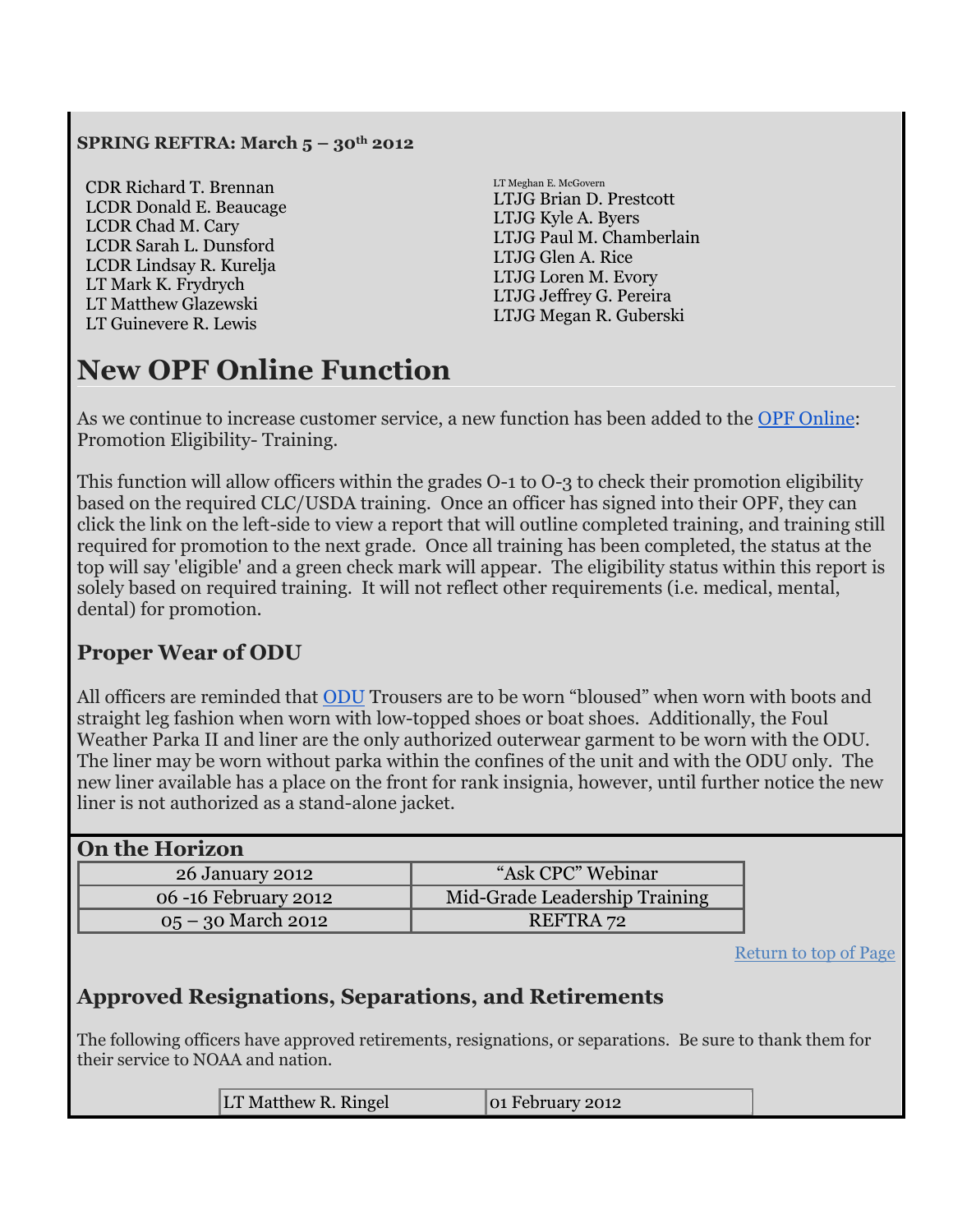#### **SPRING REFTRA: March 5 – 30th 2012**

CDR Richard T. Brennan LCDR Donald E. Beaucage LCDR Chad M. Cary LCDR Sarah L. Dunsford LCDR Lindsay R. Kurelja LT Mark K. Frydrych LT Matthew Glazewski LT Guinevere R. Lewis

LT Meghan E. McGovern LTJG Brian D. Prestcott LTJG Kyle A. Byers LTJG Paul M. Chamberlain LTJG Glen A. Rice LTJG Loren M. Evory LTJG Jeffrey G. Pereira LTJG Megan R. Guberski

# <span id="page-2-0"></span>**New OPF Online Function**

As we continue to increase customer service, a new function has been added to the [OPF Online:](https://cpc.omao.noaa.gov/opfonline/login.jsp) Promotion Eligibility- Training.

This function will allow officers within the grades O-1 to O-3 to check their promotion eligibility based on the required CLC/USDA training. Once an officer has signed into their OPF, they can click the link on the left-side to view a report that will outline completed training, and training still required for promotion to the next grade. Once all training has been completed, the status at the top will say 'eligible' and a green check mark will appear. The eligibility status within this report is solely based on required training. It will not reflect other requirements (i.e. medical, mental, dental) for promotion.

#### <span id="page-2-1"></span>**Proper Wear of ODU**

All officers are reminded that [ODU](http://www.corpscpc.noaa.gov/perservices/pdf/Operational_Dress_Uniform_Manual.pdf) Trousers are to be worn "bloused" when worn with boots and straight leg fashion when worn with low-topped shoes or boat shoes. Additionally, the Foul Weather Parka II and liner are the only authorized outerwear garment to be worn with the ODU. The liner may be worn without parka within the confines of the unit and with the ODU only. The new liner available has a place on the front for rank insignia, however, until further notice the new liner is not authorized as a stand-alone jacket.

<span id="page-2-2"></span>

| <b>On the Horizon</b> |                               |  |  |  |
|-----------------------|-------------------------------|--|--|--|
| 26 January 2012       | "Ask CPC" Webinar             |  |  |  |
| 06 -16 February 2012  | Mid-Grade Leadership Training |  |  |  |
| 05 – 30 March 2012    | REFTRA 72                     |  |  |  |

[Return to top of Page](#page-0-0)

#### <span id="page-2-3"></span>**Approved Resignations, Separations, and Retirements**

The following officers have approved retirements, resignations, or separations. Be sure to thank them for their service to NOAA and nation.

|--|--|